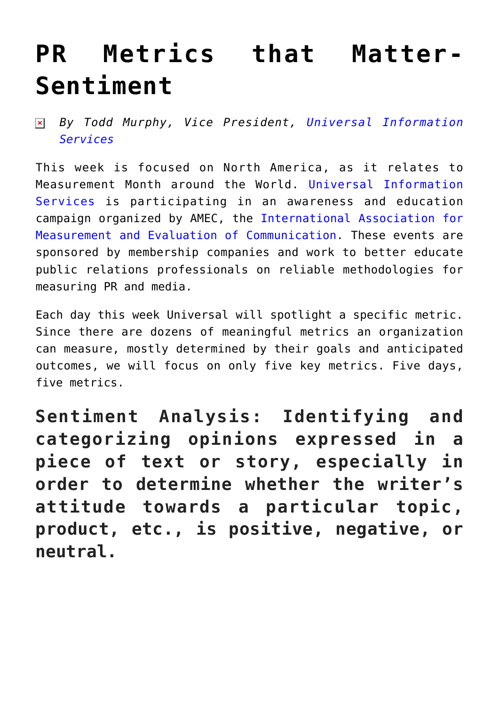## **[PR Metrics that Matter-](https://www.commpro.biz/pr-metrics-that-matter-sentiment/)[Sentiment](https://www.commpro.biz/pr-metrics-that-matter-sentiment/)**

*By Todd Murphy, Vice President, [Universal Information](https://www.universal-info.com/) [Services](https://www.universal-info.com/)*

This week is focused on North America, as it relates to Measurement Month around the World. [Universal Information](https://universal-info.com/pr-measurement/) [Services i](https://universal-info.com/pr-measurement/)s participating in an awareness and education campaign organized by AMEC, the [International Association for](https://amecorg.com/2016/07/amec-measurement-month-2016/) [Measurement and Evaluation of Communication.](https://amecorg.com/2016/07/amec-measurement-month-2016/) These events are sponsored by membership companies and work to better educate public relations professionals on reliable methodologies for measuring PR and media.

Each day this week Universal will spotlight a specific metric. Since there are dozens of meaningful metrics an organization can measure, mostly determined by their goals and anticipated outcomes, we will focus on only five key metrics. Five days, five metrics.

**Sentiment Analysis: Identifying and categorizing opinions expressed in a piece of text or story, especially in order to determine whether the writer's attitude towards a particular topic, product, etc., is positive, negative, or neutral.**